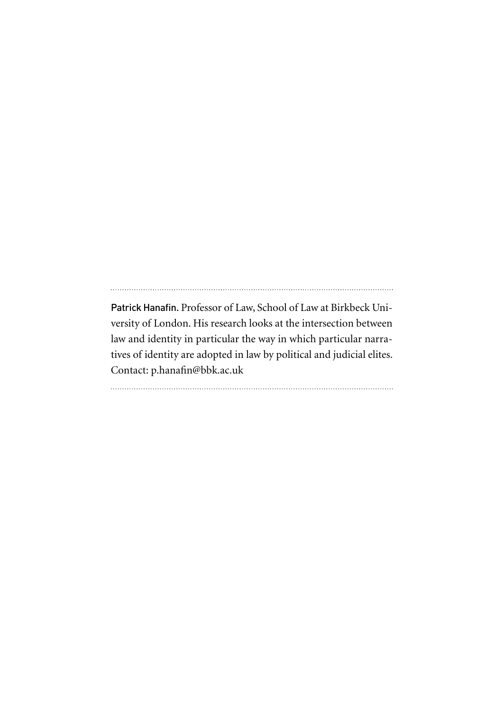Patrick Hanafin. Professor of Law, School of Law at Birkbeck University of London. His research looks at the intersection between law and identity in particular the way in which particular narratives of identity are adopted in law by political and judicial elites. Contact: p.hanafin@bbk.ac.uk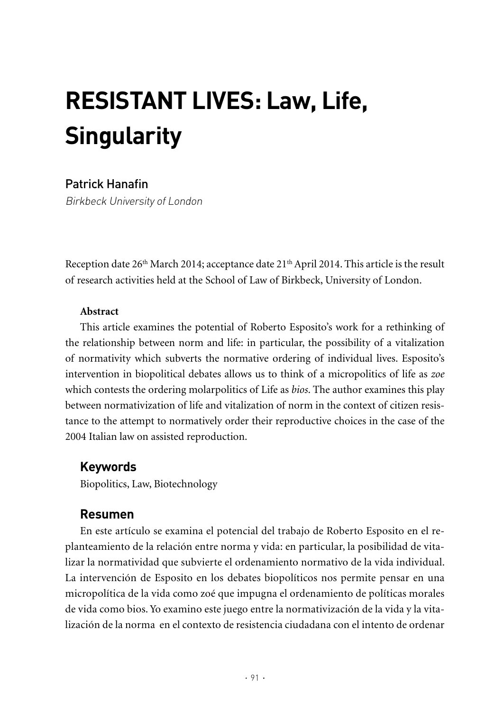# **RESISTANT LIVES: Law, Life, Singularity**

# Patrick Hanafin

Birkbeck University of London

Reception date 26<sup>th</sup> March 2014; acceptance date 21<sup>th</sup> April 2014. This article is the result of research activities held at the School of Law of Birkbeck, University of London.

#### **abstract**

This article examines the potential of Roberto Esposito's work for a rethinking of the relationship between norm and life: in particular, the possibility of a vitalization of normativity which subverts the normative ordering of individual lives. Esposito's intervention in biopolitical debates allows us to think of a micropolitics of life as *zoe* which contests the ordering molarpolitics of Life as *bios*. The author examines this play between normativization of life and vitalization of norm in the context of citizen resistance to the attempt to normatively order their reproductive choices in the case of the 2004 Italian law on assisted reproduction.

# **Keywords**

Biopolitics, Law, Biotechnology

# **Resumen**

En este artículo se examina el potencial del trabajo de Roberto Esposito en el replanteamiento de la relación entre norma y vida: en particular, la posibilidad de vitalizar la normatividad que subvierte el ordenamiento normativo de la vida individual. La intervención de Esposito en los debates biopolíticos nos permite pensar en una micropolítica de la vida como zoé que impugna el ordenamiento de políticas morales de vida como bios. Yo examino este juego entre la normativización de la vida y la vitalización de la norma en el contexto de resistencia ciudadana con el intento de ordenar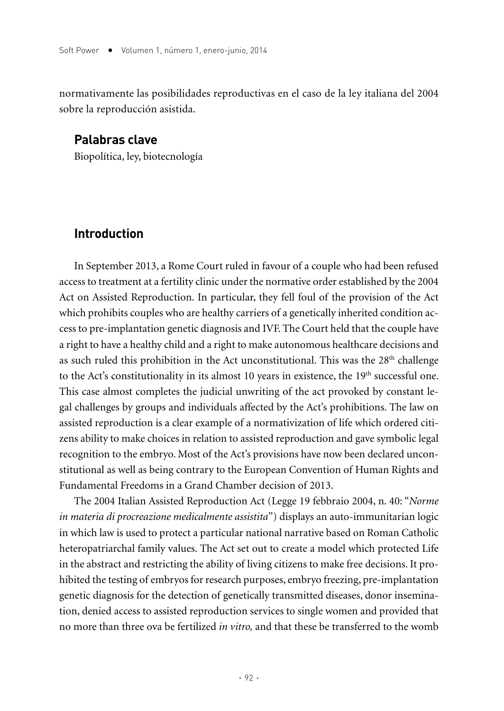normativamente las posibilidades reproductivas en el caso de la ley italiana del 2004 sobre la reproducción asistida.

## **Palabras clave**

Biopolítica, ley, biotecnología

#### **Introduction**

In September 2013, a Rome Court ruled in favour of a couple who had been refused access to treatment at a fertility clinic under the normative order established by the 2004 Act on Assisted Reproduction. In particular, they fell foul of the provision of the Act which prohibits couples who are healthy carriers of a genetically inherited condition access to pre-implantation genetic diagnosis and IVF. The Court held that the couple have a right to have a healthy child and a right to make autonomous healthcare decisions and as such ruled this prohibition in the Act unconstitutional. This was the  $28<sup>th</sup>$  challenge to the Act's constitutionality in its almost 10 years in existence, the 19<sup>th</sup> successful one. This case almost completes the judicial unwriting of the act provoked by constant legal challenges by groups and individuals affected by the Act's prohibitions. The law on assisted reproduction is a clear example of a normativization of life which ordered citizens ability to make choices in relation to assisted reproduction and gave symbolic legal recognition to the embryo. Most of the Act's provisions have now been declared unconstitutional as well as being contrary to the European Convention of Human Rights and Fundamental Freedoms in a Grand Chamber decision of 2013.

The 2004 Italian Assisted Reproduction Act (Legge 19 febbraio 2004, n. 40: "*Norme in materia di procreazione medicalmente assistita*") displays an auto-immunitarian logic in which law is used to protect a particular national narrative based on Roman Catholic heteropatriarchal family values. The Act set out to create a model which protected Life in the abstract and restricting the ability of living citizens to make free decisions. It prohibited the testing of embryos for research purposes, embryo freezing, pre-implantation genetic diagnosis for the detection of genetically transmitted diseases, donor insemination, denied access to assisted reproduction services to single women and provided that no more than three ova be fertilized *in vitro,* and that these be transferred to the womb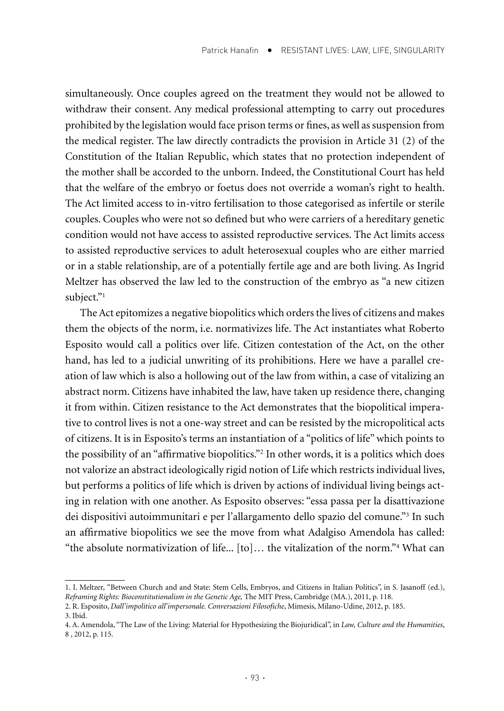simultaneously. Once couples agreed on the treatment they would not be allowed to withdraw their consent. Any medical professional attempting to carry out procedures prohibited by the legislation would face prison terms or fines, as well as suspension from the medical register. The law directly contradicts the provision in Article 31 (2) of the Constitution of the Italian Republic, which states that no protection independent of the mother shall be accorded to the unborn. Indeed, the Constitutional Court has held that the welfare of the embryo or foetus does not override a woman's right to health. The Act limited access to in-vitro fertilisation to those categorised as infertile or sterile couples. Couples who were not so defined but who were carriers of a hereditary genetic condition would not have access to assisted reproductive services. The Act limits access to assisted reproductive services to adult heterosexual couples who are either married or in a stable relationship, are of a potentially fertile age and are both living. As Ingrid Meltzer has observed the law led to the construction of the embryo as "a new citizen subject."<sup>1</sup>

The Act epitomizes a negative biopolitics which orders the lives of citizens and makes them the objects of the norm, i.e. normativizes life. The Act instantiates what Roberto Esposito would call a politics over life. Citizen contestation of the Act, on the other hand, has led to a judicial unwriting of its prohibitions. Here we have a parallel creation of law which is also a hollowing out of the law from within, a case of vitalizing an abstract norm. Citizens have inhabited the law, have taken up residence there, changing it from within. Citizen resistance to the Act demonstrates that the biopolitical imperative to control lives is not a one-way street and can be resisted by the micropolitical acts of citizens. It is in Esposito's terms an instantiation of a "politics of life" which points to the possibility of an "affirmative biopolitics."2 In other words, it is a politics which does not valorize an abstract ideologically rigid notion of Life which restricts individual lives, but performs a politics of life which is driven by actions of individual living beings acting in relation with one another. As Esposito observes: "essa passa per la disattivazione dei dispositivi autoimmunitari e per l'allargamento dello spazio del comune."3 In such an affirmative biopolitics we see the move from what Adalgiso Amendola has called: "the absolute normativization of life... [to]… the vitalization of the norm."4 What can

<sup>1.</sup> I. Meltzer, "Between Church and and State: Stem Cells, Embryos, and Citizens in Italian Politics", in S. Jasanoff (ed.), *Reframing Rights: Bioconstitutionalism in the Genetic Age,* The MIT Press, Cambridge (MA.), 2011, p. 118.

<sup>2.</sup> R. Esposito, *Dall'impolitico all'impersonale. Conversazioni Filosofiche*, Mimesis, Milano-Udine, 2012, p. 185.

<sup>3.</sup> Ibid.

<sup>4.</sup> A. Amendola, "The Law of the Living: Material for Hypothesizing the Biojuridical", in *Law, Culture and the Humanities*, 8 , 2012, p. 115.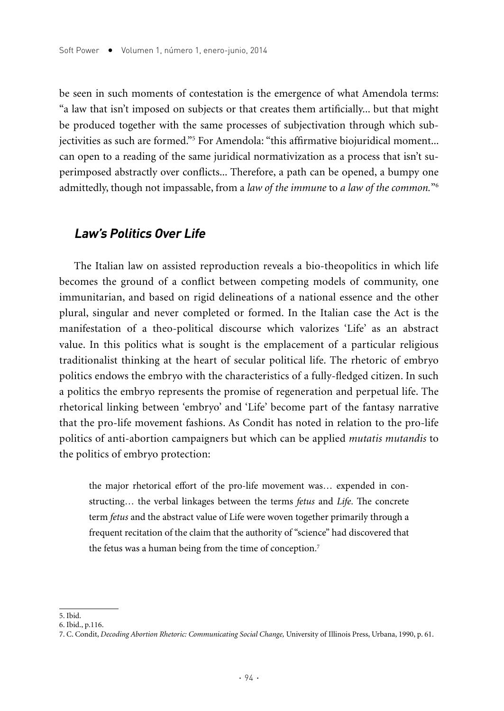be seen in such moments of contestation is the emergence of what Amendola terms: "a law that isn't imposed on subjects or that creates them artificially... but that might be produced together with the same processes of subjectivation through which subjectivities as such are formed."5 For Amendola: "this affirmative biojuridical moment... can open to a reading of the same juridical normativization as a process that isn't superimposed abstractly over conflicts... Therefore, a path can be opened, a bumpy one admittedly, though not impassable, from a *law of the immune* to *a law of the common.*"6

#### **Law's Politics Over Life**

The Italian law on assisted reproduction reveals a bio-theopolitics in which life becomes the ground of a conflict between competing models of community, one immunitarian, and based on rigid delineations of a national essence and the other plural, singular and never completed or formed. In the Italian case the Act is the manifestation of a theo-political discourse which valorizes 'Life' as an abstract value. In this politics what is sought is the emplacement of a particular religious traditionalist thinking at the heart of secular political life. The rhetoric of embryo politics endows the embryo with the characteristics of a fully-fledged citizen. In such a politics the embryo represents the promise of regeneration and perpetual life. The rhetorical linking between 'embryo' and 'Life' become part of the fantasy narrative that the pro-life movement fashions. As Condit has noted in relation to the pro-life politics of anti-abortion campaigners but which can be applied *mutatis mutandis* to the politics of embryo protection:

the major rhetorical effort of the pro-life movement was… expended in constructing… the verbal linkages between the terms *fetus* and *Life*. The concrete term *fetus* and the abstract value of Life were woven together primarily through a frequent recitation of the claim that the authority of "science" had discovered that the fetus was a human being from the time of conception.<sup>7</sup>

<sup>5.</sup> Ibid.

<sup>6.</sup> Ibid., p.116.

<sup>7.</sup> C. Condit, *Decoding Abortion Rhetoric: Communicating Social Change,* University of Illinois Press, Urbana, 1990, p. 61.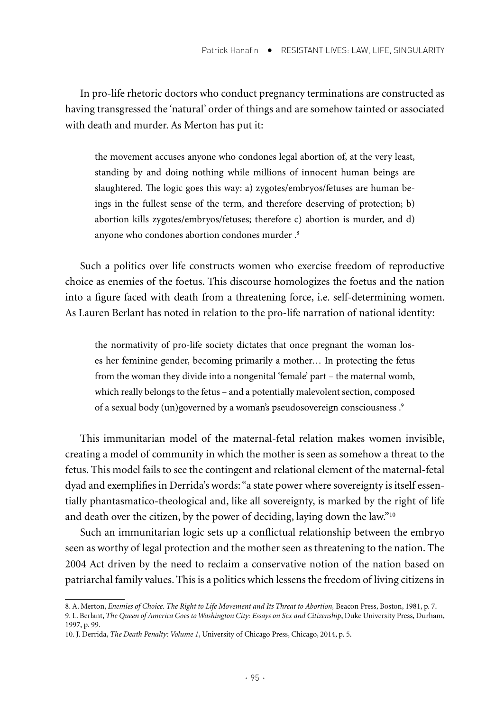In pro-life rhetoric doctors who conduct pregnancy terminations are constructed as having transgressed the 'natural' order of things and are somehow tainted or associated with death and murder. As Merton has put it:

the movement accuses anyone who condones legal abortion of, at the very least, standing by and doing nothing while millions of innocent human beings are slaughtered. The logic goes this way: a) zygotes/embryos/fetuses are human beings in the fullest sense of the term, and therefore deserving of protection; b) abortion kills zygotes/embryos/fetuses; therefore c) abortion is murder, and d) anyone who condones abortion condones murder .8

Such a politics over life constructs women who exercise freedom of reproductive choice as enemies of the foetus. This discourse homologizes the foetus and the nation into a figure faced with death from a threatening force, i.e. self-determining women. As Lauren Berlant has noted in relation to the pro-life narration of national identity:

the normativity of pro-life society dictates that once pregnant the woman loses her feminine gender, becoming primarily a mother… In protecting the fetus from the woman they divide into a nongenital 'female' part – the maternal womb, which really belongs to the fetus – and a potentially malevolent section, composed of a sexual body (un)governed by a woman's pseudosovereign consciousness .9

This immunitarian model of the maternal-fetal relation makes women invisible, creating a model of community in which the mother is seen as somehow a threat to the fetus. This model fails to see the contingent and relational element of the maternal-fetal dyad and exemplifies in Derrida's words: "a state power where sovereignty is itself essentially phantasmatico-theological and, like all sovereignty, is marked by the right of life and death over the citizen, by the power of deciding, laying down the law."10

Such an immunitarian logic sets up a conflictual relationship between the embryo seen as worthy of legal protection and the mother seen as threatening to the nation. The 2004 Act driven by the need to reclaim a conservative notion of the nation based on patriarchal family values. This is a politics which lessens the freedom of living citizens in

<sup>8.</sup> A. Merton, *Enemies of Choice. The Right to Life Movement and Its Threat to Abortion,* Beacon Press, Boston, 1981, p. 7.

<sup>9.</sup> L. Berlant, *The Queen of America Goes to Washington City: Essays on Sex and Citizenship*, Duke University Press, Durham, 1997, p. 99.

<sup>10.</sup> J. Derrida, *The Death Penalty: Volume 1*, University of Chicago Press, Chicago, 2014, p. 5.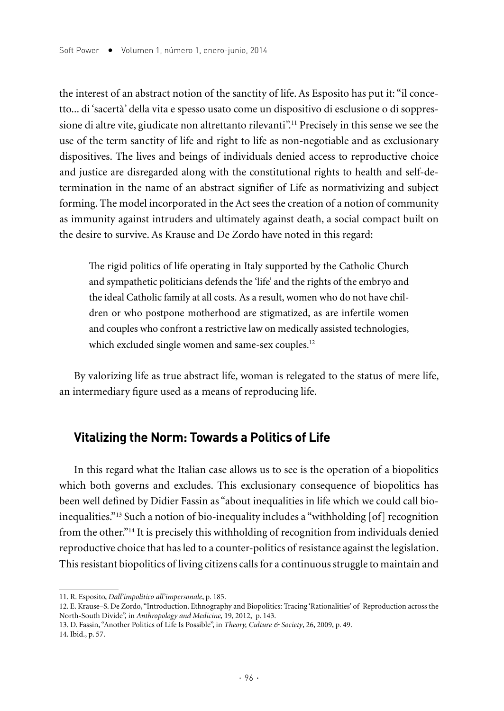the interest of an abstract notion of the sanctity of life. As Esposito has put it: "il concetto... di 'sacertà' della vita e spesso usato come un dispositivo di esclusione o di soppressione di altre vite, giudicate non altrettanto rilevanti".<sup>11</sup> Precisely in this sense we see the use of the term sanctity of life and right to life as non-negotiable and as exclusionary dispositives. The lives and beings of individuals denied access to reproductive choice and justice are disregarded along with the constitutional rights to health and self-determination in the name of an abstract signifier of Life as normativizing and subject forming. The model incorporated in the Act sees the creation of a notion of community as immunity against intruders and ultimately against death, a social compact built on the desire to survive. As Krause and De Zordo have noted in this regard:

The rigid politics of life operating in Italy supported by the Catholic Church and sympathetic politicians defends the 'life' and the rights of the embryo and the ideal Catholic family at all costs. As a result, women who do not have children or who postpone motherhood are stigmatized, as are infertile women and couples who confront a restrictive law on medically assisted technologies, which excluded single women and same-sex couples.<sup>12</sup>

By valorizing life as true abstract life, woman is relegated to the status of mere life, an intermediary figure used as a means of reproducing life.

## **Vitalizing the Norm: Towards a Politics of Life**

In this regard what the Italian case allows us to see is the operation of a biopolitics which both governs and excludes. This exclusionary consequence of biopolitics has been well defined by Didier Fassin as "about inequalities in life which we could call bioinequalities."13 Such a notion of bio-inequality includes a "withholding [of] recognition from the other."14 It is precisely this withholding of recognition from individuals denied reproductive choice that has led to a counter-politics of resistance against the legislation. This resistant biopolitics of living citizens calls for a continuous struggle to maintain and

<sup>11.</sup> R. Esposito, *Dall'impolitico all'impersonale*, p. 185.

<sup>12.</sup> E. Krause–S. De Zordo, "Introduction. Ethnography and Biopolitics: Tracing 'Rationalities' of Reproduction across the North-South Divide", in *Anthropology and Medicine,* 19, 2012, p. 143.

<sup>13.</sup> D. Fassin, "Another Politics of Life Is Possible", in *Theory, Culture & Society*, 26, 2009, p. 49. 14. Ibid., p. 57.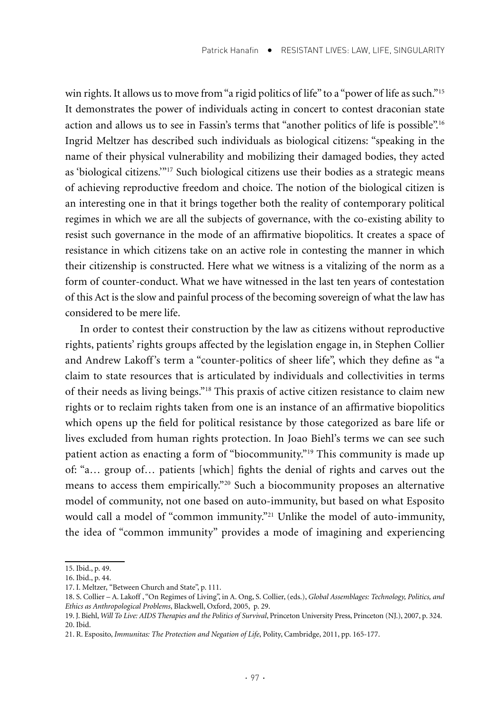win rights. It allows us to move from "a rigid politics of life" to a "power of life as such."<sup>15</sup> It demonstrates the power of individuals acting in concert to contest draconian state action and allows us to see in Fassin's terms that "another politics of life is possible".16 Ingrid Meltzer has described such individuals as biological citizens: "speaking in the name of their physical vulnerability and mobilizing their damaged bodies, they acted as 'biological citizens.'"17 Such biological citizens use their bodies as a strategic means of achieving reproductive freedom and choice. The notion of the biological citizen is an interesting one in that it brings together both the reality of contemporary political regimes in which we are all the subjects of governance, with the co-existing ability to resist such governance in the mode of an affirmative biopolitics. It creates a space of resistance in which citizens take on an active role in contesting the manner in which their citizenship is constructed. Here what we witness is a vitalizing of the norm as a form of counter-conduct. What we have witnessed in the last ten years of contestation of this Act is the slow and painful process of the becoming sovereign of what the law has considered to be mere life.

In order to contest their construction by the law as citizens without reproductive rights, patients' rights groups affected by the legislation engage in, in Stephen Collier and Andrew Lakoff's term a "counter-politics of sheer life", which they define as "a claim to state resources that is articulated by individuals and collectivities in terms of their needs as living beings."18 This praxis of active citizen resistance to claim new rights or to reclaim rights taken from one is an instance of an affirmative biopolitics which opens up the field for political resistance by those categorized as bare life or lives excluded from human rights protection. In Joao Biehl's terms we can see such patient action as enacting a form of "biocommunity."19 This community is made up of: "a… group of… patients [which] fights the denial of rights and carves out the means to access them empirically."20 Such a biocommunity proposes an alternative model of community, not one based on auto-immunity, but based on what Esposito would call a model of "common immunity."<sup>21</sup> Unlike the model of auto-immunity, the idea of "common immunity" provides a mode of imagining and experiencing

<sup>15.</sup> Ibid., p. 49.

<sup>16.</sup> Ibid., p. 44.

<sup>17.</sup> I. Meltzer, "Between Church and State", p. 111.

<sup>18.</sup> S. Collier – A. Lakoff , "On Regimes of Living", in A. Ong, S. Collier, (eds.), *Global Assemblages: Technology, Politics, and Ethics as Anthropological Problems*, Blackwell, Oxford, 2005, p. 29.

<sup>19.</sup> J. Biehl, *Will To Live: AIDS Therapies and the Politics of Survival*, Princeton University Press, Princeton (NJ.), 2007, p. 324. 20. Ibid.

<sup>21.</sup> R. Esposito, *Immunitas: The Protection and Negation of Life*, Polity, Cambridge, 2011, pp. 165-177.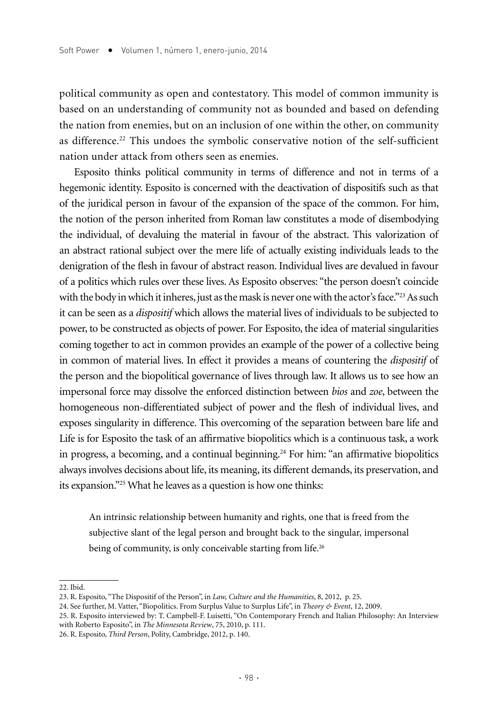political community as open and contestatory. This model of common immunity is based on an understanding of community not as bounded and based on defending the nation from enemies, but on an inclusion of one within the other, on community as difference.<sup>22</sup> This undoes the symbolic conservative notion of the self-sufficient nation under attack from others seen as enemies.

Esposito thinks political community in terms of difference and not in terms of a hegemonic identity. Esposito is concerned with the deactivation of dispositifs such as that of the juridical person in favour of the expansion of the space of the common. For him, the notion of the person inherited from Roman law constitutes a mode of disembodying the individual, of devaluing the material in favour of the abstract. This valorization of an abstract rational subject over the mere life of actually existing individuals leads to the denigration of the flesh in favour of abstract reason. Individual lives are devalued in favour of a politics which rules over these lives. As Esposito observes: "the person doesn't coincide with the body in which it inheres, just as the mask is never one with the actor's face."<sup>23</sup> As such it can be seen as a *dispositif* which allows the material lives of individuals to be subjected to power, to be constructed as objects of power. For Esposito, the idea of material singularities coming together to act in common provides an example of the power of a collective being in common of material lives. In effect it provides a means of countering the *dispositif* of the person and the biopolitical governance of lives through law. It allows us to see how an impersonal force may dissolve the enforced distinction between *bios* and *zoe*, between the homogeneous non-differentiated subject of power and the flesh of individual lives, and exposes singularity in difference. This overcoming of the separation between bare life and Life is for Esposito the task of an affirmative biopolitics which is a continuous task, a work in progress, a becoming, and a continual beginning.<sup>24</sup> For him: "an affirmative biopolitics always involves decisions about life, its meaning, its different demands, its preservation, and its expansion."25 What he leaves as a question is how one thinks:

An intrinsic relationship between humanity and rights, one that is freed from the subjective slant of the legal person and brought back to the singular, impersonal being of community, is only conceivable starting from life.<sup>26</sup>

22. Ibid.

<sup>23.</sup> R. Esposito, "The Dispositif of the Person", in *Law, Culture and the Humanities*, 8, 2012, p. 25.

<sup>24.</sup> See further, M. Vatter, "Biopolitics. From Surplus Value to Surplus Life", in *Theory & Event*, 12, 2009.

<sup>25.</sup> R. Esposito interviewed by: T. Campbell-F. Luisetti, "On Contemporary French and Italian Philosophy: An Interview with Roberto Esposito", in *The Minnesota Review*, 75, 2010, p. 111.

<sup>26.</sup> R. Esposito, *Third Person*, Polity, Cambridge, 2012, p. 140.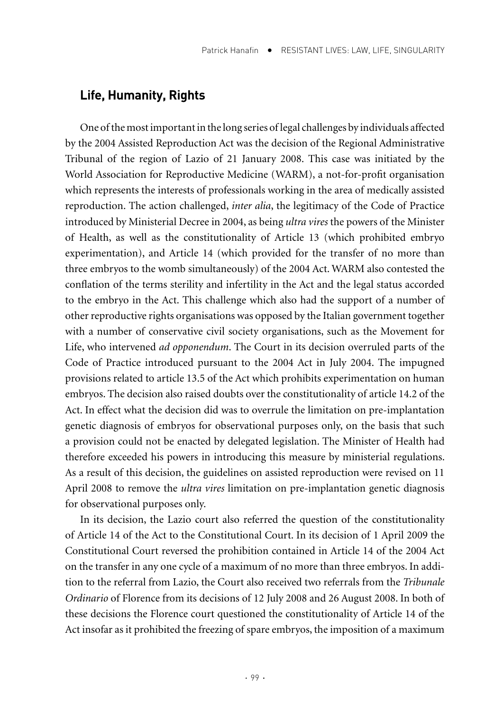#### **Life, humanity, Rights**

One of the most important in the long series of legal challenges by individuals affected by the 2004 Assisted Reproduction Act was the decision of the Regional Administrative Tribunal of the region of Lazio of 21 January 2008. This case was initiated by the World Association for Reproductive Medicine (WARM), a not-for-profit organisation which represents the interests of professionals working in the area of medically assisted reproduction. The action challenged, *inter alia*, the legitimacy of the Code of Practice introduced by Ministerial Decree in 2004, as being *ultra vires* the powers of the Minister of Health, as well as the constitutionality of Article 13 (which prohibited embryo experimentation), and Article 14 (which provided for the transfer of no more than three embryos to the womb simultaneously) of the 2004 Act. WARM also contested the conflation of the terms sterility and infertility in the Act and the legal status accorded to the embryo in the Act. This challenge which also had the support of a number of other reproductive rights organisations was opposed by the Italian government together with a number of conservative civil society organisations, such as the Movement for Life, who intervened *ad opponendum*. The Court in its decision overruled parts of the Code of Practice introduced pursuant to the 2004 Act in July 2004. The impugned provisions related to article 13.5 of the Act which prohibits experimentation on human embryos. The decision also raised doubts over the constitutionality of article 14.2 of the Act. In effect what the decision did was to overrule the limitation on pre-implantation genetic diagnosis of embryos for observational purposes only, on the basis that such a provision could not be enacted by delegated legislation. The Minister of Health had therefore exceeded his powers in introducing this measure by ministerial regulations. As a result of this decision, the guidelines on assisted reproduction were revised on 11 April 2008 to remove the *ultra vires* limitation on pre-implantation genetic diagnosis for observational purposes only.

In its decision, the Lazio court also referred the question of the constitutionality of Article 14 of the Act to the Constitutional Court. In its decision of 1 April 2009 the Constitutional Court reversed the prohibition contained in Article 14 of the 2004 Act on the transfer in any one cycle of a maximum of no more than three embryos. In addition to the referral from Lazio, the Court also received two referrals from the *Tribunale Ordinario* of Florence from its decisions of 12 July 2008 and 26 August 2008. In both of these decisions the Florence court questioned the constitutionality of Article 14 of the Act insofar as it prohibited the freezing of spare embryos, the imposition of a maximum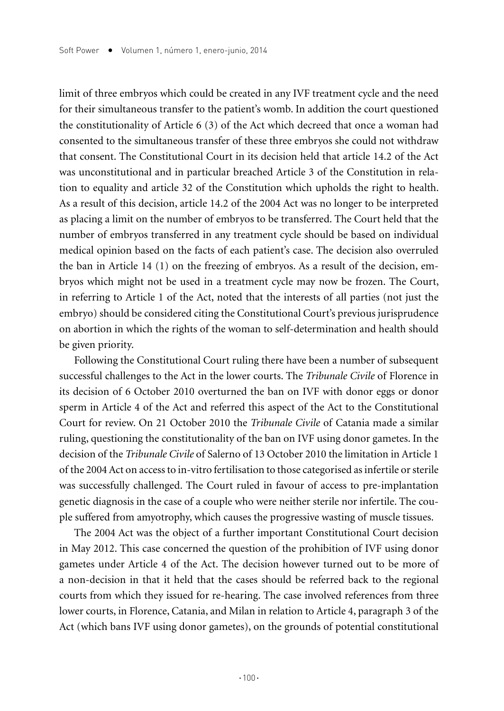limit of three embryos which could be created in any IVF treatment cycle and the need for their simultaneous transfer to the patient's womb. In addition the court questioned the constitutionality of Article 6 (3) of the Act which decreed that once a woman had consented to the simultaneous transfer of these three embryos she could not withdraw that consent. The Constitutional Court in its decision held that article 14.2 of the Act was unconstitutional and in particular breached Article 3 of the Constitution in relation to equality and article 32 of the Constitution which upholds the right to health. As a result of this decision, article 14.2 of the 2004 Act was no longer to be interpreted as placing a limit on the number of embryos to be transferred. The Court held that the number of embryos transferred in any treatment cycle should be based on individual medical opinion based on the facts of each patient's case. The decision also overruled the ban in Article 14 (1) on the freezing of embryos. As a result of the decision, embryos which might not be used in a treatment cycle may now be frozen. The Court, in referring to Article 1 of the Act, noted that the interests of all parties (not just the embryo) should be considered citing the Constitutional Court's previous jurisprudence on abortion in which the rights of the woman to self-determination and health should be given priority.

Following the Constitutional Court ruling there have been a number of subsequent successful challenges to the Act in the lower courts. The *Tribunale Civile* of Florence in its decision of 6 October 2010 overturned the ban on IVF with donor eggs or donor sperm in Article 4 of the Act and referred this aspect of the Act to the Constitutional Court for review. On 21 October 2010 the *Tribunale Civile* of Catania made a similar ruling, questioning the constitutionality of the ban on IVF using donor gametes. In the decision of the *Tribunale Civile* of Salerno of 13 October 2010 the limitation in Article 1 of the 2004 Act on access to in-vitro fertilisation to those categorised as infertile or sterile was successfully challenged. The Court ruled in favour of access to pre-implantation genetic diagnosis in the case of a couple who were neither sterile nor infertile. The couple suffered from amyotrophy, which causes the progressive wasting of muscle tissues.

The 2004 Act was the object of a further important Constitutional Court decision in May 2012. This case concerned the question of the prohibition of IVF using donor gametes under Article 4 of the Act. The decision however turned out to be more of a non-decision in that it held that the cases should be referred back to the regional courts from which they issued for re-hearing. The case involved references from three lower courts, in Florence, Catania, and Milan in relation to Article 4, paragraph 3 of the Act (which bans IVF using donor gametes), on the grounds of potential constitutional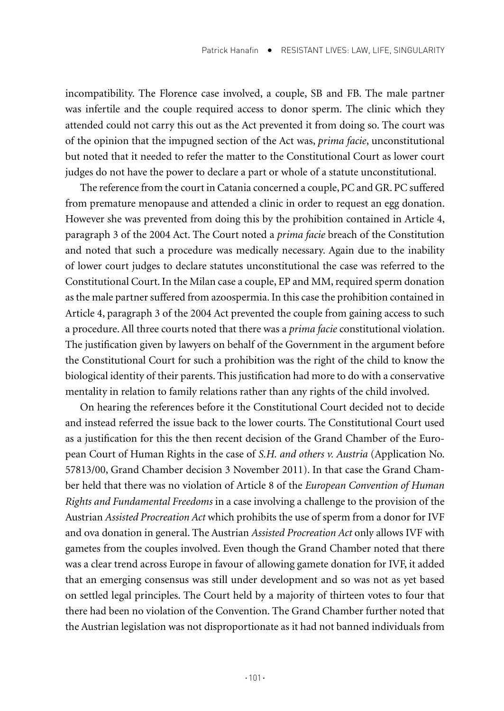incompatibility. The Florence case involved, a couple, SB and FB. The male partner was infertile and the couple required access to donor sperm. The clinic which they attended could not carry this out as the Act prevented it from doing so. The court was of the opinion that the impugned section of the Act was, *prima facie*, unconstitutional but noted that it needed to refer the matter to the Constitutional Court as lower court judges do not have the power to declare a part or whole of a statute unconstitutional.

The reference from the court in Catania concerned a couple, PC and GR. PC suffered from premature menopause and attended a clinic in order to request an egg donation. However she was prevented from doing this by the prohibition contained in Article 4, paragraph 3 of the 2004 Act. The Court noted a *prima facie* breach of the Constitution and noted that such a procedure was medically necessary. Again due to the inability of lower court judges to declare statutes unconstitutional the case was referred to the Constitutional Court. In the Milan case a couple, EP and MM, required sperm donation as the male partner suffered from azoospermia. In this case the prohibition contained in Article 4, paragraph 3 of the 2004 Act prevented the couple from gaining access to such a procedure. All three courts noted that there was a *prima facie* constitutional violation. The justification given by lawyers on behalf of the Government in the argument before the Constitutional Court for such a prohibition was the right of the child to know the biological identity of their parents. This justification had more to do with a conservative mentality in relation to family relations rather than any rights of the child involved.

On hearing the references before it the Constitutional Court decided not to decide and instead referred the issue back to the lower courts. The Constitutional Court used as a justification for this the then recent decision of the Grand Chamber of the European Court of Human Rights in the case of *S.H. and others v. Austria* (Application No. 57813/00, Grand Chamber decision 3 November 2011). In that case the Grand Chamber held that there was no violation of Article 8 of the *European Convention of Human Rights and Fundamental Freedoms* in a case involving a challenge to the provision of the Austrian *Assisted Procreation Act* which prohibits the use of sperm from a donor for IVF and ova donation in general. The Austrian *Assisted Procreation Act* only allows IVF with gametes from the couples involved. Even though the Grand Chamber noted that there was a clear trend across Europe in favour of allowing gamete donation for IVF, it added that an emerging consensus was still under development and so was not as yet based on settled legal principles. The Court held by a majority of thirteen votes to four that there had been no violation of the Convention. The Grand Chamber further noted that the Austrian legislation was not disproportionate as it had not banned individuals from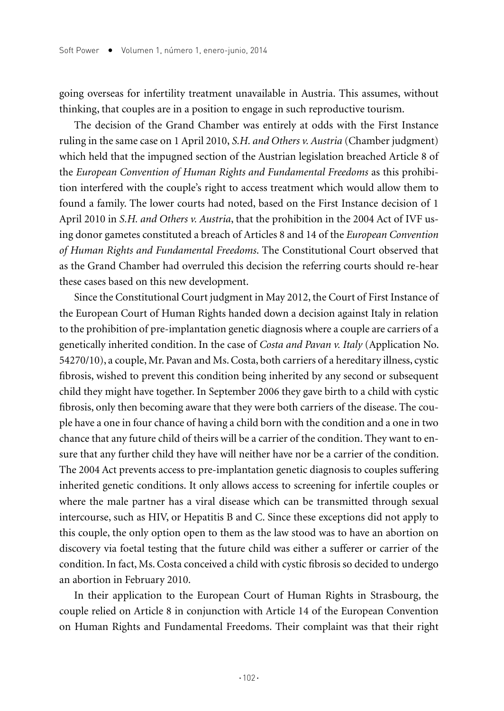going overseas for infertility treatment unavailable in Austria. This assumes, without thinking, that couples are in a position to engage in such reproductive tourism.

The decision of the Grand Chamber was entirely at odds with the First Instance ruling in the same case on 1 April 2010, *S.H. and Others v. Austria* (Chamber judgment) which held that the impugned section of the Austrian legislation breached Article 8 of the *European Convention of Human Rights and Fundamental Freedoms* as this prohibition interfered with the couple's right to access treatment which would allow them to found a family. The lower courts had noted, based on the First Instance decision of 1 April 2010 in *S.H. and Others v. Austria*, that the prohibition in the 2004 Act of IVF using donor gametes constituted a breach of Articles 8 and 14 of the *European Convention of Human Rights and Fundamental Freedoms*. The Constitutional Court observed that as the Grand Chamber had overruled this decision the referring courts should re-hear these cases based on this new development.

Since the Constitutional Court judgment in May 2012, the Court of First Instance of the European Court of Human Rights handed down a decision against Italy in relation to the prohibition of pre-implantation genetic diagnosis where a couple are carriers of a genetically inherited condition. In the case of *Costa and Pavan v. Italy* (Application No. 54270/10), a couple, Mr. Pavan and Ms. Costa, both carriers of a hereditary illness, cystic fibrosis, wished to prevent this condition being inherited by any second or subsequent child they might have together. In September 2006 they gave birth to a child with cystic fibrosis, only then becoming aware that they were both carriers of the disease. The couple have a one in four chance of having a child born with the condition and a one in two chance that any future child of theirs will be a carrier of the condition. They want to ensure that any further child they have will neither have nor be a carrier of the condition. The 2004 Act prevents access to pre-implantation genetic diagnosis to couples suffering inherited genetic conditions. It only allows access to screening for infertile couples or where the male partner has a viral disease which can be transmitted through sexual intercourse, such as HIV, or Hepatitis B and C. Since these exceptions did not apply to this couple, the only option open to them as the law stood was to have an abortion on discovery via foetal testing that the future child was either a sufferer or carrier of the condition. In fact, Ms. Costa conceived a child with cystic fibrosis so decided to undergo an abortion in February 2010.

In their application to the European Court of Human Rights in Strasbourg, the couple relied on Article 8 in conjunction with Article 14 of the European Convention on Human Rights and Fundamental Freedoms. Their complaint was that their right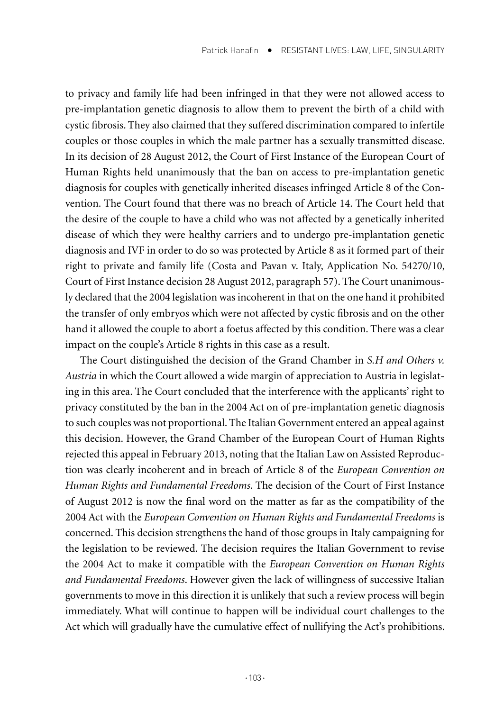to privacy and family life had been infringed in that they were not allowed access to pre-implantation genetic diagnosis to allow them to prevent the birth of a child with cystic fibrosis. They also claimed that they suffered discrimination compared to infertile couples or those couples in which the male partner has a sexually transmitted disease. In its decision of 28 August 2012, the Court of First Instance of the European Court of Human Rights held unanimously that the ban on access to pre-implantation genetic diagnosis for couples with genetically inherited diseases infringed Article 8 of the Convention. The Court found that there was no breach of Article 14. The Court held that the desire of the couple to have a child who was not affected by a genetically inherited disease of which they were healthy carriers and to undergo pre-implantation genetic diagnosis and IVF in order to do so was protected by Article 8 as it formed part of their right to private and family life (Costa and Pavan v. Italy, Application No. 54270/10, Court of First Instance decision 28 August 2012, paragraph 57). The Court unanimously declared that the 2004 legislation was incoherent in that on the one hand it prohibited the transfer of only embryos which were not affected by cystic fibrosis and on the other hand it allowed the couple to abort a foetus affected by this condition. There was a clear impact on the couple's Article 8 rights in this case as a result.

The Court distinguished the decision of the Grand Chamber in *S.H and Others v. Austria* in which the Court allowed a wide margin of appreciation to Austria in legislating in this area. The Court concluded that the interference with the applicants' right to privacy constituted by the ban in the 2004 Act on of pre-implantation genetic diagnosis to such couples was not proportional. The Italian Government entered an appeal against this decision. However, the Grand Chamber of the European Court of Human Rights rejected this appeal in February 2013, noting that the Italian Law on Assisted Reproduction was clearly incoherent and in breach of Article 8 of the *European Convention on Human Rights and Fundamental Freedoms*. The decision of the Court of First Instance of August 2012 is now the final word on the matter as far as the compatibility of the 2004 Act with the *European Convention on Human Rights and Fundamental Freedoms* is concerned. This decision strengthens the hand of those groups in Italy campaigning for the legislation to be reviewed. The decision requires the Italian Government to revise the 2004 Act to make it compatible with the *European Convention on Human Rights and Fundamental Freedoms*. However given the lack of willingness of successive Italian governments to move in this direction it is unlikely that such a review process will begin immediately. What will continue to happen will be individual court challenges to the Act which will gradually have the cumulative effect of nullifying the Act's prohibitions.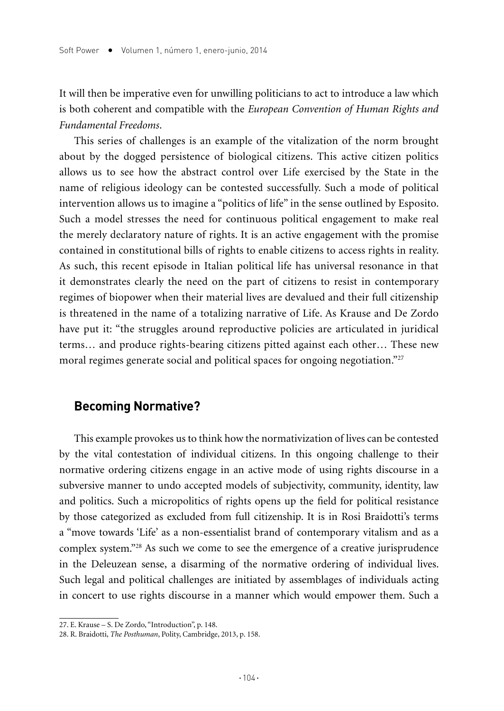It will then be imperative even for unwilling politicians to act to introduce a law which is both coherent and compatible with the *European Convention of Human Rights and Fundamental Freedoms*.

This series of challenges is an example of the vitalization of the norm brought about by the dogged persistence of biological citizens. This active citizen politics allows us to see how the abstract control over Life exercised by the State in the name of religious ideology can be contested successfully. Such a mode of political intervention allows us to imagine a "politics of life" in the sense outlined by Esposito. Such a model stresses the need for continuous political engagement to make real the merely declaratory nature of rights. It is an active engagement with the promise contained in constitutional bills of rights to enable citizens to access rights in reality. As such, this recent episode in Italian political life has universal resonance in that it demonstrates clearly the need on the part of citizens to resist in contemporary regimes of biopower when their material lives are devalued and their full citizenship is threatened in the name of a totalizing narrative of Life. As Krause and De Zordo have put it: "the struggles around reproductive policies are articulated in juridical terms… and produce rights-bearing citizens pitted against each other… These new moral regimes generate social and political spaces for ongoing negotiation."<sup>27</sup>

## **Becoming Normative?**

This example provokes us to think how the normativization of lives can be contested by the vital contestation of individual citizens. In this ongoing challenge to their normative ordering citizens engage in an active mode of using rights discourse in a subversive manner to undo accepted models of subjectivity, community, identity, law and politics. Such a micropolitics of rights opens up the field for political resistance by those categorized as excluded from full citizenship. It is in Rosi Braidotti's terms a "move towards 'Life' as a non-essentialist brand of contemporary vitalism and as a complex system."28 As such we come to see the emergence of a creative jurisprudence in the Deleuzean sense, a disarming of the normative ordering of individual lives. Such legal and political challenges are initiated by assemblages of individuals acting in concert to use rights discourse in a manner which would empower them. Such a

<sup>27.</sup> E. Krause – S. De Zordo, "Introduction", p. 148.

<sup>28.</sup> R. Braidotti, *The Posthuman*, Polity, Cambridge, 2013, p. 158.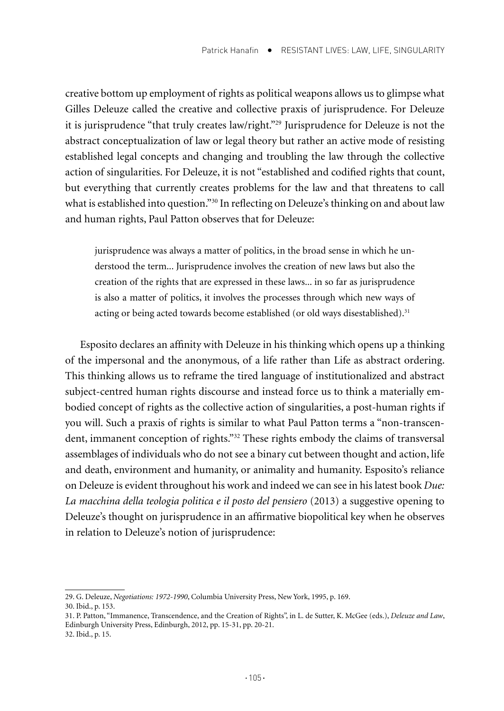creative bottom up employment of rights as political weapons allows us to glimpse what Gilles Deleuze called the creative and collective praxis of jurisprudence. For Deleuze it is jurisprudence "that truly creates law/right."29 Jurisprudence for Deleuze is not the abstract conceptualization of law or legal theory but rather an active mode of resisting established legal concepts and changing and troubling the law through the collective action of singularities. For Deleuze, it is not "established and codified rights that count, but everything that currently creates problems for the law and that threatens to call what is established into question."<sup>30</sup> In reflecting on Deleuze's thinking on and about law and human rights, Paul Patton observes that for Deleuze:

jurisprudence was always a matter of politics, in the broad sense in which he understood the term... Jurisprudence involves the creation of new laws but also the creation of the rights that are expressed in these laws... in so far as jurisprudence is also a matter of politics, it involves the processes through which new ways of acting or being acted towards become established (or old ways disestablished).<sup>31</sup>

Esposito declares an affinity with Deleuze in his thinking which opens up a thinking of the impersonal and the anonymous, of a life rather than Life as abstract ordering. This thinking allows us to reframe the tired language of institutionalized and abstract subject-centred human rights discourse and instead force us to think a materially embodied concept of rights as the collective action of singularities, a post-human rights if you will. Such a praxis of rights is similar to what Paul Patton terms a "non-transcendent, immanent conception of rights."<sup>32</sup> These rights embody the claims of transversal assemblages of individuals who do not see a binary cut between thought and action, life and death, environment and humanity, or animality and humanity. Esposito's reliance on Deleuze is evident throughout his work and indeed we can see in his latest book *Due: La macchina della teologia politica e il posto del pensiero* (2013) a suggestive opening to Deleuze's thought on jurisprudence in an affirmative biopolitical key when he observes in relation to Deleuze's notion of jurisprudence:

<sup>29.</sup> G. Deleuze, *Negotiations: 1972-1990*, Columbia University Press, New York, 1995, p. 169. 30. Ibid., p. 153.

<sup>31.</sup> P. Patton, "Immanence, Transcendence, and the Creation of Rights", in L. de Sutter, K. McGee (eds.), *Deleuze and Law*, Edinburgh University Press, Edinburgh, 2012, pp. 15-31, pp. 20-21.

<sup>32.</sup> Ibid., p. 15.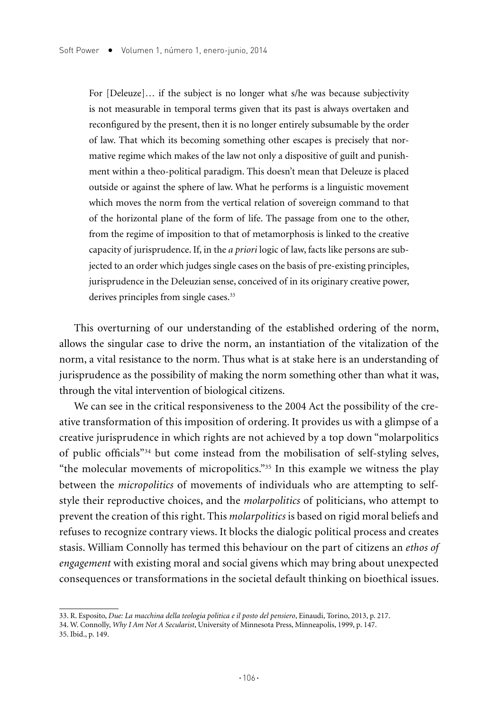For [Deleuze]… if the subject is no longer what s/he was because subjectivity is not measurable in temporal terms given that its past is always overtaken and reconfigured by the present, then it is no longer entirely subsumable by the order of law. That which its becoming something other escapes is precisely that normative regime which makes of the law not only a dispositive of guilt and punishment within a theo-political paradigm. This doesn't mean that Deleuze is placed outside or against the sphere of law. What he performs is a linguistic movement which moves the norm from the vertical relation of sovereign command to that of the horizontal plane of the form of life. The passage from one to the other, from the regime of imposition to that of metamorphosis is linked to the creative capacity of jurisprudence. If, in the *a priori* logic of law, facts like persons are subjected to an order which judges single cases on the basis of pre-existing principles, jurisprudence in the Deleuzian sense, conceived of in its originary creative power, derives principles from single cases.<sup>33</sup>

This overturning of our understanding of the established ordering of the norm, allows the singular case to drive the norm, an instantiation of the vitalization of the norm, a vital resistance to the norm. Thus what is at stake here is an understanding of jurisprudence as the possibility of making the norm something other than what it was, through the vital intervention of biological citizens.

We can see in the critical responsiveness to the 2004 Act the possibility of the creative transformation of this imposition of ordering. It provides us with a glimpse of a creative jurisprudence in which rights are not achieved by a top down "molarpolitics of public officials"34 but come instead from the mobilisation of self-styling selves, "the molecular movements of micropolitics."35 In this example we witness the play between the *micropolitics* of movements of individuals who are attempting to selfstyle their reproductive choices, and the *molarpolitics* of politicians, who attempt to prevent the creation of this right. This *molarpolitics* is based on rigid moral beliefs and refuses to recognize contrary views. It blocks the dialogic political process and creates stasis. William Connolly has termed this behaviour on the part of citizens an *ethos of engagement* with existing moral and social givens which may bring about unexpected consequences or transformations in the societal default thinking on bioethical issues.

<sup>33.</sup> R. Esposito, *Due: La macchina della teologia politica e il posto del pensiero*, Einaudi, Torino, 2013, p. 217.

<sup>34.</sup> W. Connolly, *Why I Am Not A Secularist*, University of Minnesota Press, Minneapolis, 1999, p. 147.

<sup>35.</sup> Ibid., p. 149.